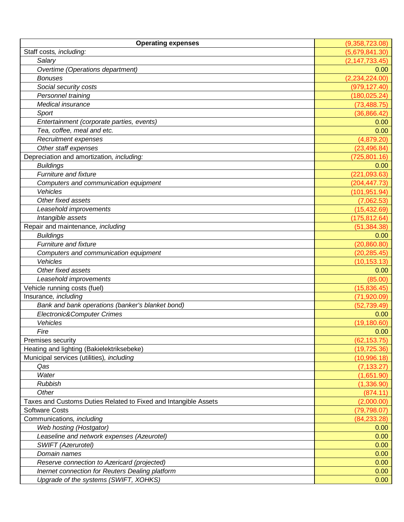| <b>Operating expenses</b>                                       | (9,358,723.08)   |
|-----------------------------------------------------------------|------------------|
| Staff costs, including:                                         | (5,679,841.30)   |
| Salary                                                          | (2, 147, 733.45) |
| Overtime (Operations department)                                | 0.00             |
| <b>Bonuses</b>                                                  | (2, 234, 224.00) |
| Social security costs                                           | (979, 127.40)    |
| Personnel training                                              | (180, 025.24)    |
| Medical insurance                                               | (73, 488.75)     |
| Sport                                                           | (36,866.42)      |
| Entertainment (corporate parties, events)                       | 0.00             |
| Tea, coffee, meal and etc.                                      | 0.00             |
| <b>Recruitment expenses</b>                                     | (4,879.20)       |
| Other staff expenses                                            | (23, 496.84)     |
| Depreciation and amortization, including:                       | (725, 801.16)    |
| <b>Buildings</b>                                                | 0.00             |
| Furniture and fixture                                           | (221, 093.63)    |
| Computers and communication equipment                           | (204, 447.73)    |
| Vehicles                                                        | (101, 951.94)    |
| Other fixed assets                                              | (7,062.53)       |
| Leasehold improvements                                          | (15, 432.69)     |
| Intangible assets                                               | (175, 812.64)    |
| Repair and maintenance, including                               | (51, 384.38)     |
| <b>Buildings</b>                                                | 0.00             |
| Furniture and fixture                                           | (20, 860.80)     |
| Computers and communication equipment                           | (20, 285.45)     |
| Vehicles                                                        | (10, 153.13)     |
| Other fixed assets                                              | 0.00             |
| Leasehold improvements                                          | (85.00)          |
| Vehicle running costs (fuel)                                    | (15,836.45)      |
| Insurance, including                                            | (71,920.09)      |
| Bank and bank operations (banker's blanket bond)                | (52, 739.49)     |
| Electronic&Computer Crimes                                      | 0.00             |
| Vehicles                                                        | (19, 180.60)     |
| Fire                                                            | 0.00             |
| Premises security                                               | (62, 153.75)     |
| Heating and lighting (Bakielektriksebeke)                       | (19, 725.36)     |
| Municipal services (utilities), including                       | (10,996.18)      |
| Qas                                                             | (7, 133.27)      |
| Water                                                           | (1,651.90)       |
| <b>Rubbish</b>                                                  | (1,336.90)       |
| Other                                                           | (874.11)         |
| Taxes and Customs Duties Related to Fixed and Intangible Assets | (2,000.00)       |
| <b>Software Costs</b>                                           | (79, 798.07)     |
| Communications, including                                       | (84, 233.28)     |
| Web hosting (Hostgator)                                         | 0.00             |
| Leaseline and network expenses (Azeurotel)                      | 0.00             |
| SWIFT (Azerurotel)                                              | 0.00             |
| Domain names                                                    | 0.00             |
| Reserve connection to Azericard (projected)                     | 0.00             |
| Inernet connection for Reuters Dealing platform                 | 0.00             |
| Upgrade of the systems (SWIFT, XOHKS)                           | 0.00             |
|                                                                 |                  |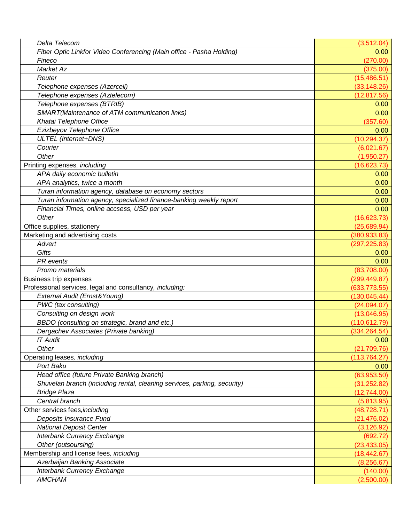| Delta Telecom                                                            | (3,512.04)    |
|--------------------------------------------------------------------------|---------------|
| Fiber Optic Linkfor Video Conferencing (Main office - Pasha Holding)     | 0.00          |
| Fineco                                                                   | (270.00)      |
| Market Az                                                                | (375.00)      |
| Reuter                                                                   | (15, 486.51)  |
| Telephone expenses (Azercell)                                            | (33, 148.26)  |
| Telephone expenses (Aztelecom)                                           | (12, 817.56)  |
| Telephone expenses (BTRIB)                                               | 0.00          |
| SMART(Maintenance of ATM communication links)                            | 0.00          |
| Khatai Telephone Office                                                  | (357.60)      |
| Ezizbeyov Telephone Office                                               | 0.00          |
| ULTEL (Internet+DNS)                                                     | (10, 294.37)  |
| Courier                                                                  | (6,021.67)    |
| Other                                                                    | (1,950.27)    |
| Printing expenses, including                                             | (16, 623.73)  |
| APA daily economic bulletin                                              | 0.00          |
| APA analytics, twice a month                                             | 0.00          |
| Turan information agency, database on economy sectors                    | 0.00          |
| Turan information agency, specialized finance-banking weekly report      | 0.00          |
| Financial Times, online accsess, USD per year                            | 0.00          |
| Other                                                                    | (16,623.73)   |
| Office supplies, stationery                                              | (25,689.94)   |
| Marketing and advertising costs                                          | (380, 933.83) |
| Advert                                                                   | (297, 225.83) |
| Gifts                                                                    | 0.00          |
| PR events                                                                | 0.00          |
| Promo materials                                                          | (83,708.00)   |
| <b>Business trip expenses</b>                                            | (299, 449.87) |
| Professional services, legal and consultancy, including:                 | (633, 773.55) |
| External Audit (Ernst& Young)                                            | (130, 045.44) |
| PWC (tax consulting)                                                     | (24,094.07)   |
| Consulting on design work                                                | (13,046.95)   |
| BBDO (consulting on strategic, brand and etc.)                           | (110, 612.79) |
| Dergachev Associates (Private banking)                                   | (334, 264.54) |
| <b>IT Audit</b>                                                          | 0.00          |
| Other                                                                    | (21, 709.76)  |
| Operating leases, including                                              | (113, 764.27) |
| Port Baku                                                                | 0.00          |
| Head office (future Private Banking branch)                              | (63,953.50)   |
| Shuvelan branch (including rental, cleaning services, parking, security) | (31, 252.82)  |
| <b>Bridge Plaza</b>                                                      | (12,744.00)   |
| Central branch                                                           | (5,813.95)    |
| Other services fees, including                                           | (48, 728.71)  |
| Deposits Insurance Fund                                                  | (21, 476.02)  |
| <b>National Deposit Center</b>                                           | (3, 126.92)   |
| Interbank Currency Exchange                                              | (692.72)      |
| Other (outsoursing)                                                      | (23, 433.05)  |
| Membership and license fees, including                                   | (18, 442.67)  |
| Azerbaijan Banking Associate                                             | (8, 256.67)   |
| Interbank Currency Exchange                                              | (140.00)      |
| <b>AMCHAM</b>                                                            | (2,500.00)    |
|                                                                          |               |